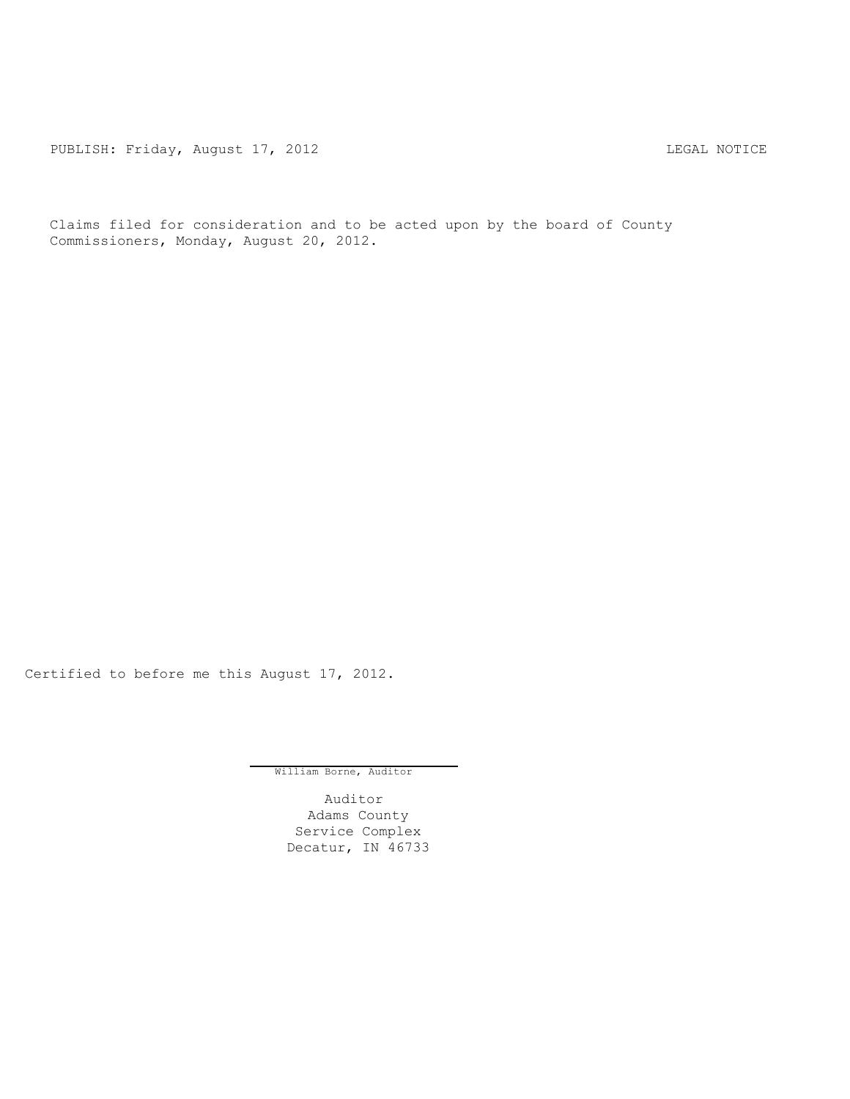PUBLISH: Friday, August 17, 2012 CHARL STATES AND THE MOTICE

Claims filed for consideration and to be acted upon by the board of County Commissioners, Monday, August 20, 2012.

Certified to before me this August 17, 2012.

William Borne, Auditor

Auditor Adams County Service Complex Decatur, IN 46733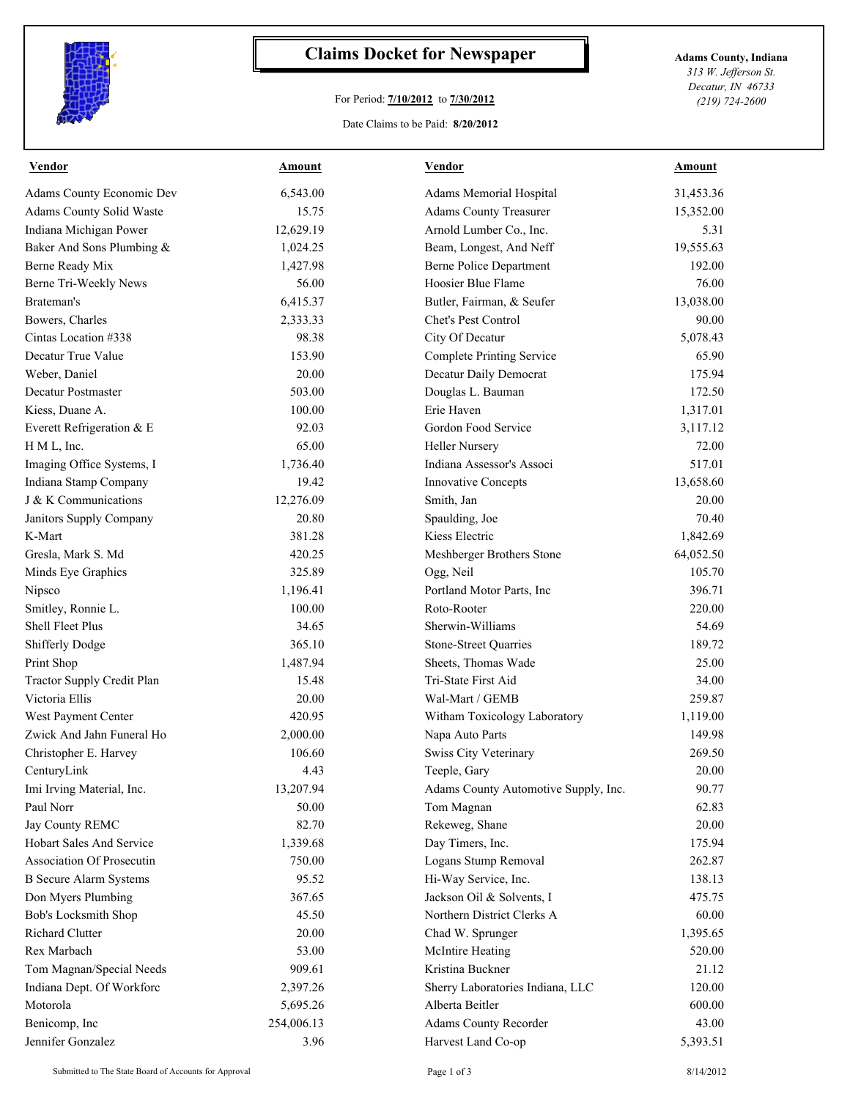

## **Claims Docket for Newspaper Adams County, Indiana**

## For Period: **7/10/2012** to **7/30/2012**

Date Claims to be Paid: **8/20/2012**

*313 W. Jefferson St. Decatur, IN 46733 (219) 724-2600*

| Vendor                           | <b>Amount</b> | <b>Vendor</b>                        | <b>Amount</b> |
|----------------------------------|---------------|--------------------------------------|---------------|
| <b>Adams County Economic Dev</b> | 6,543.00      | Adams Memorial Hospital              | 31,453.36     |
| <b>Adams County Solid Waste</b>  | 15.75         | <b>Adams County Treasurer</b>        | 15,352.00     |
| Indiana Michigan Power           | 12,629.19     | Arnold Lumber Co., Inc.              | 5.31          |
| Baker And Sons Plumbing &        | 1,024.25      | Beam, Longest, And Neff              | 19,555.63     |
| Berne Ready Mix                  | 1,427.98      | <b>Berne Police Department</b>       | 192.00        |
| Berne Tri-Weekly News            | 56.00         | Hoosier Blue Flame                   | 76.00         |
| Brateman's                       | 6,415.37      | Butler, Fairman, & Seufer            | 13,038.00     |
| Bowers, Charles                  | 2,333.33      | Chet's Pest Control                  | 90.00         |
| Cintas Location #338             | 98.38         | City Of Decatur                      | 5,078.43      |
| Decatur True Value               | 153.90        | Complete Printing Service            | 65.90         |
| Weber, Daniel                    | 20.00         | Decatur Daily Democrat               | 175.94        |
| Decatur Postmaster               | 503.00        | Douglas L. Bauman                    | 172.50        |
| Kiess, Duane A.                  | 100.00        | Erie Haven                           | 1,317.01      |
| Everett Refrigeration & E        | 92.03         | Gordon Food Service                  | 3,117.12      |
| H M L, Inc.                      | 65.00         | <b>Heller Nursery</b>                | 72.00         |
| Imaging Office Systems, I        | 1,736.40      | Indiana Assessor's Associ            | 517.01        |
| Indiana Stamp Company            | 19.42         | <b>Innovative Concepts</b>           | 13,658.60     |
| J & K Communications             | 12,276.09     | Smith, Jan                           | 20.00         |
| Janitors Supply Company          | 20.80         | Spaulding, Joe                       | 70.40         |
| K-Mart                           | 381.28        | Kiess Electric                       | 1,842.69      |
| Gresla, Mark S. Md               | 420.25        | Meshberger Brothers Stone            | 64,052.50     |
| Minds Eye Graphics               | 325.89        | Ogg, Neil                            | 105.70        |
| Nipsco                           | 1,196.41      | Portland Motor Parts, Inc            | 396.71        |
| Smitley, Ronnie L.               | 100.00        | Roto-Rooter                          | 220.00        |
| Shell Fleet Plus                 | 34.65         | Sherwin-Williams                     | 54.69         |
| <b>Shifferly Dodge</b>           | 365.10        | Stone-Street Quarries                | 189.72        |
| Print Shop                       | 1,487.94      | Sheets, Thomas Wade                  | 25.00         |
| Tractor Supply Credit Plan       | 15.48         | Tri-State First Aid                  | 34.00         |
| Victoria Ellis                   | 20.00         | Wal-Mart / GEMB                      | 259.87        |
| West Payment Center              | 420.95        | Witham Toxicology Laboratory         | 1,119.00      |
| Zwick And Jahn Funeral Ho        | 2,000.00      | Napa Auto Parts                      | 149.98        |
| Christopher E. Harvey            | 106.60        | Swiss City Veterinary                | 269.50        |
| CenturyLink                      | 4.43          | Teeple, Gary                         | 20.00         |
| Imi Irving Material, Inc.        | 13,207.94     | Adams County Automotive Supply, Inc. | 90.77         |
| Paul Norr                        | 50.00         | Tom Magnan                           | 62.83         |
| Jay County REMC                  | 82.70         | Rekeweg, Shane                       | 20.00         |
| <b>Hobart Sales And Service</b>  | 1,339.68      | Day Timers, Inc.                     | 175.94        |
| <b>Association Of Prosecutin</b> | 750.00        | Logans Stump Removal                 | 262.87        |
| <b>B</b> Secure Alarm Systems    | 95.52         | Hi-Way Service, Inc.                 | 138.13        |
| Don Myers Plumbing               | 367.65        | Jackson Oil & Solvents, I            | 475.75        |
| <b>Bob's Locksmith Shop</b>      | 45.50         | Northern District Clerks A           | 60.00         |
| <b>Richard Clutter</b>           | 20.00         | Chad W. Sprunger                     | 1,395.65      |
| Rex Marbach                      | 53.00         | McIntire Heating                     | 520.00        |
| Tom Magnan/Special Needs         | 909.61        | Kristina Buckner                     | 21.12         |
| Indiana Dept. Of Workforc        | 2,397.26      | Sherry Laboratories Indiana, LLC     | 120.00        |
| Motorola                         | 5,695.26      | Alberta Beitler                      | 600.00        |
| Benicomp, Inc                    | 254,006.13    | Adams County Recorder                | 43.00         |
| Jennifer Gonzalez                | 3.96          | Harvest Land Co-op                   | 5,393.51      |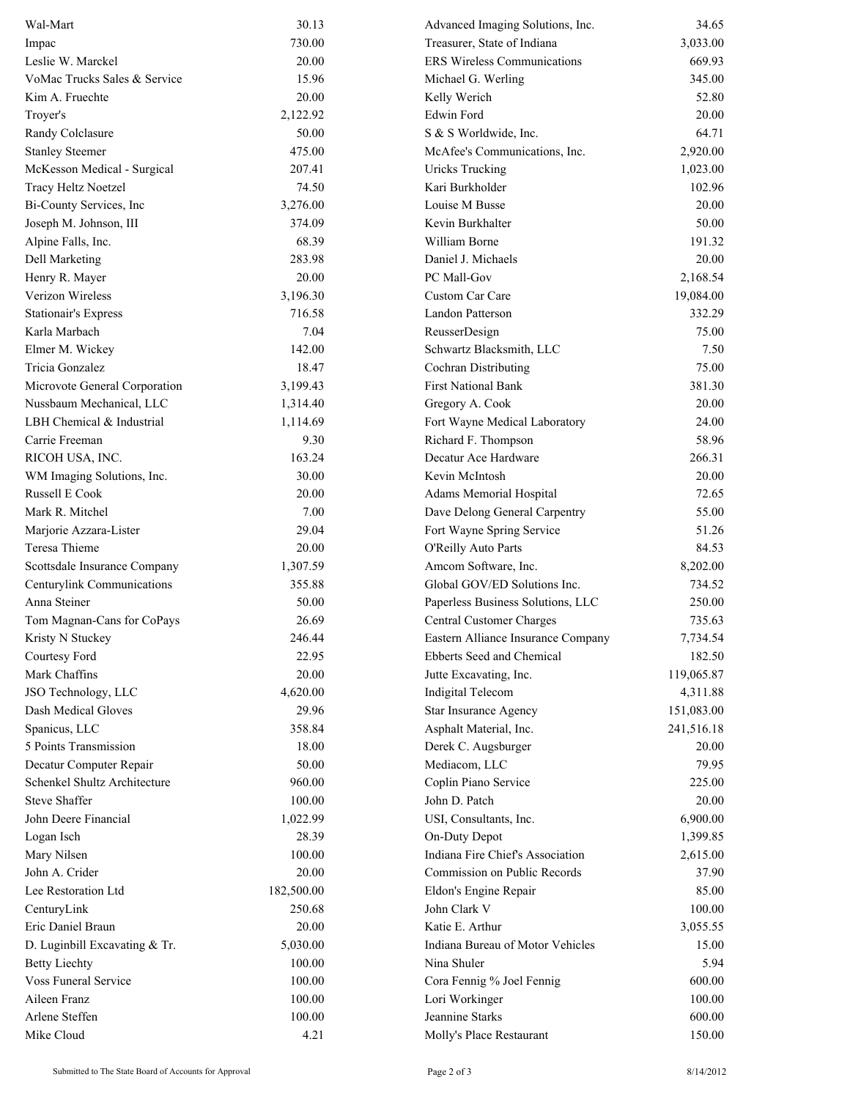| Wal-Mart                      | 30.13      | Advanced Imaging Solutions, Inc.   | 34.65      |
|-------------------------------|------------|------------------------------------|------------|
| Impac                         | 730.00     | Treasurer, State of Indiana        | 3,033.00   |
| Leslie W. Marckel             | 20.00      | <b>ERS Wireless Communications</b> | 669.93     |
| VoMac Trucks Sales & Service  | 15.96      | Michael G. Werling                 | 345.00     |
| Kim A. Fruechte               | 20.00      | Kelly Werich                       | 52.80      |
| Troyer's                      | 2,122.92   | Edwin Ford                         | 20.00      |
| Randy Colclasure              | 50.00      | S & S Worldwide, Inc.              | 64.71      |
| <b>Stanley Steemer</b>        | 475.00     | McAfee's Communications, Inc.      | 2,920.00   |
| McKesson Medical - Surgical   | 207.41     | <b>Uricks Trucking</b>             | 1,023.00   |
| Tracy Heltz Noetzel           | 74.50      | Kari Burkholder                    | 102.96     |
| Bi-County Services, Inc       | 3,276.00   | Louise M Busse                     | 20.00      |
| Joseph M. Johnson, III        | 374.09     | Kevin Burkhalter                   | 50.00      |
| Alpine Falls, Inc.            | 68.39      | William Borne                      | 191.32     |
| Dell Marketing                | 283.98     | Daniel J. Michaels                 | 20.00      |
| Henry R. Mayer                | 20.00      | PC Mall-Gov                        | 2,168.54   |
| Verizon Wireless              | 3,196.30   | Custom Car Care                    | 19,084.00  |
| <b>Stationair's Express</b>   | 716.58     | Landon Patterson                   | 332.29     |
| Karla Marbach                 | 7.04       | ReusserDesign                      | 75.00      |
| Elmer M. Wickey               | 142.00     | Schwartz Blacksmith, LLC           | 7.50       |
| Tricia Gonzalez               | 18.47      | Cochran Distributing               | 75.00      |
| Microvote General Corporation | 3,199.43   | <b>First National Bank</b>         | 381.30     |
| Nussbaum Mechanical, LLC      | 1,314.40   | Gregory A. Cook                    | 20.00      |
| LBH Chemical & Industrial     | 1,114.69   | Fort Wayne Medical Laboratory      | 24.00      |
| Carrie Freeman                | 9.30       | Richard F. Thompson                | 58.96      |
| RICOH USA, INC.               | 163.24     | Decatur Ace Hardware               | 266.31     |
| WM Imaging Solutions, Inc.    | 30.00      | Kevin McIntosh                     | 20.00      |
| Russell E Cook                | 20.00      | Adams Memorial Hospital            | 72.65      |
| Mark R. Mitchel               | 7.00       | Dave Delong General Carpentry      | 55.00      |
| Marjorie Azzara-Lister        | 29.04      | Fort Wayne Spring Service          | 51.26      |
| Teresa Thieme                 | 20.00      | O'Reilly Auto Parts                | 84.53      |
| Scottsdale Insurance Company  | 1,307.59   | Amcom Software, Inc.               | 8,202.00   |
| Centurylink Communications    | 355.88     | Global GOV/ED Solutions Inc.       | 734.52     |
| Anna Steiner                  | 50.00      | Paperless Business Solutions, LLC  | 250.00     |
| Tom Magnan-Cans for CoPays    | 26.69      | Central Customer Charges           | 735.63     |
| Kristy N Stuckey              | 246.44     | Eastern Alliance Insurance Company | 7,734.54   |
| Courtesy Ford                 | 22.95      | Ebberts Seed and Chemical          | 182.50     |
| Mark Chaffins                 | 20.00      | Jutte Excavating, Inc.             | 119,065.87 |
| JSO Technology, LLC           | 4,620.00   | Indigital Telecom                  | 4,311.88   |
| Dash Medical Gloves           | 29.96      | Star Insurance Agency              | 151,083.00 |
| Spanicus, LLC                 | 358.84     | Asphalt Material, Inc.             | 241,516.18 |
| 5 Points Transmission         | 18.00      | Derek C. Augsburger                | 20.00      |
| Decatur Computer Repair       | 50.00      | Mediacom, LLC                      | 79.95      |
| Schenkel Shultz Architecture  | 960.00     | Coplin Piano Service               | 225.00     |
| <b>Steve Shaffer</b>          | 100.00     | John D. Patch                      | 20.00      |
| John Deere Financial          | 1,022.99   | USI, Consultants, Inc.             | 6,900.00   |
| Logan Isch                    | 28.39      | On-Duty Depot                      | 1,399.85   |
| Mary Nilsen                   | 100.00     | Indiana Fire Chief's Association   | 2,615.00   |
| John A. Crider                | 20.00      | Commission on Public Records       | 37.90      |
| Lee Restoration Ltd           | 182,500.00 | Eldon's Engine Repair              | 85.00      |
| CenturyLink                   | 250.68     | John Clark V                       | 100.00     |
| Eric Daniel Braun             | 20.00      | Katie E. Arthur                    | 3,055.55   |
| D. Luginbill Excavating & Tr. | 5,030.00   | Indiana Bureau of Motor Vehicles   | 15.00      |
| <b>Betty Liechty</b>          | 100.00     | Nina Shuler                        | 5.94       |
| Voss Funeral Service          | 100.00     | Cora Fennig % Joel Fennig          | 600.00     |
| Aileen Franz                  | 100.00     | Lori Workinger                     | 100.00     |
| Arlene Steffen                | 100.00     | Jeannine Starks                    | 600.00     |
| Mike Cloud                    | 4.21       | Molly's Place Restaurant           | 150.00     |